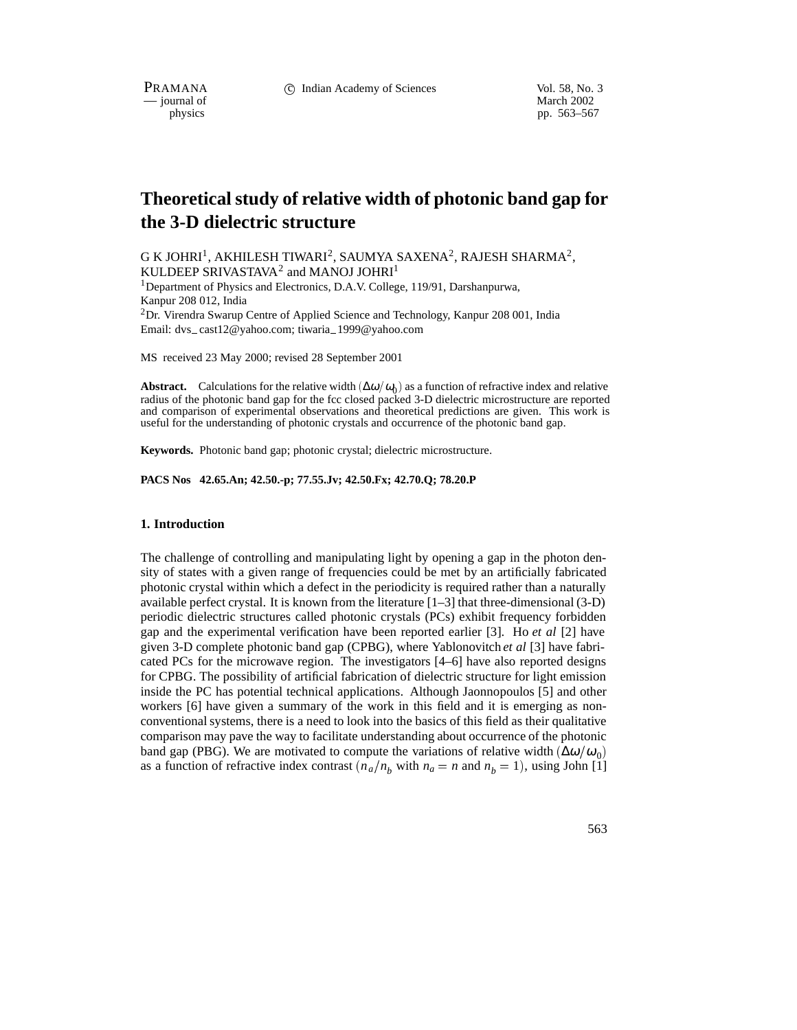PRAMANA 
<sup>C</sup> Indian Academy of Sciences Vol. 58, No. 3<br>
— iournal of March 2002

physics<br>
physics<br>
physics<br>
physics<br>
physics<br>
physics<br>
physics<br>
physics<br>
physics<br>
physics<br>
physics<br>
physics<br>
physics<br>
physics<br>
physics<br>
physics<br>
physics<br>
physics<br>
physics<br>
physics<br>
physics<br>
physics<br>
physics<br>
physics<br>
physic pp. 563–567

# **Theoretical study of relative width of photonic band gap for the 3-D dielectric structure**

G K JOHRI<sup>1</sup>, AKHILESH TIWARI<sup>2</sup>, SAUMYA SAXENA<sup>2</sup>, RAJESH SHARMA<sup>2</sup>, KULDEEP SRIVASTAVA<sup>2</sup> and MANOJ JOHRI<sup>1</sup>

<sup>1</sup>Department of Physics and Electronics, D.A.V. College, 119/91, Darshanpurwa, Kanpur 208 012, India

2Dr. Virendra Swarup Centre of Applied Science and Technology, Kanpur 208 001, India Email: dvs\_cast12@yahoo.com; tiwaria\_1999@yahoo.com

MS received 23 May 2000; revised 28 September 2001

**Abstract.** Calculations for the relative width  $(\Delta \omega/\omega_0)$  as a function of refractive index and relative radius of the photonic band gap for the fcc closed packed 3-D dielectric microstructure are reported and comparison of experimental observations and theoretical predictions are given. This work is useful for the understanding of photonic crystals and occurrence of the photonic band gap.

**Keywords.** Photonic band gap; photonic crystal; dielectric microstructure.

**PACS Nos 42.65.An; 42.50.-p; 77.55.Jv; 42.50.Fx; 42.70.Q; 78.20.P**

#### **1. Introduction**

The challenge of controlling and manipulating light by opening a gap in the photon density of states with a given range of frequencies could be met by an artificially fabricated photonic crystal within which a defect in the periodicity is required rather than a naturally available perfect crystal. It is known from the literature  $[1-3]$  that three-dimensional (3-D) periodic dielectric structures called photonic crystals (PCs) exhibit frequency forbidden gap and the experimental verification have been reported earlier [3]. Ho *et al* [2] have given 3-D complete photonic band gap (CPBG), where Yablonovitch *et al* [3] have fabricated PCs for the microwave region. The investigators [4–6] have also reported designs for CPBG. The possibility of artificial fabrication of dielectric structure for light emission inside the PC has potential technical applications. Although Jaonnopoulos [5] and other workers [6] have given a summary of the work in this field and it is emerging as nonconventional systems, there is a need to look into the basics of this field as their qualitative comparison may pave the way to facilitate understanding about occurrence of the photonic band gap (PBG). We are motivated to compute the variations of relative width  $(\Delta \omega/\omega_0)$ as a function of refractive index contrast  $(n_a/n_b)$  with  $n_a = n$  and  $n_b = 1$ ), using John [1]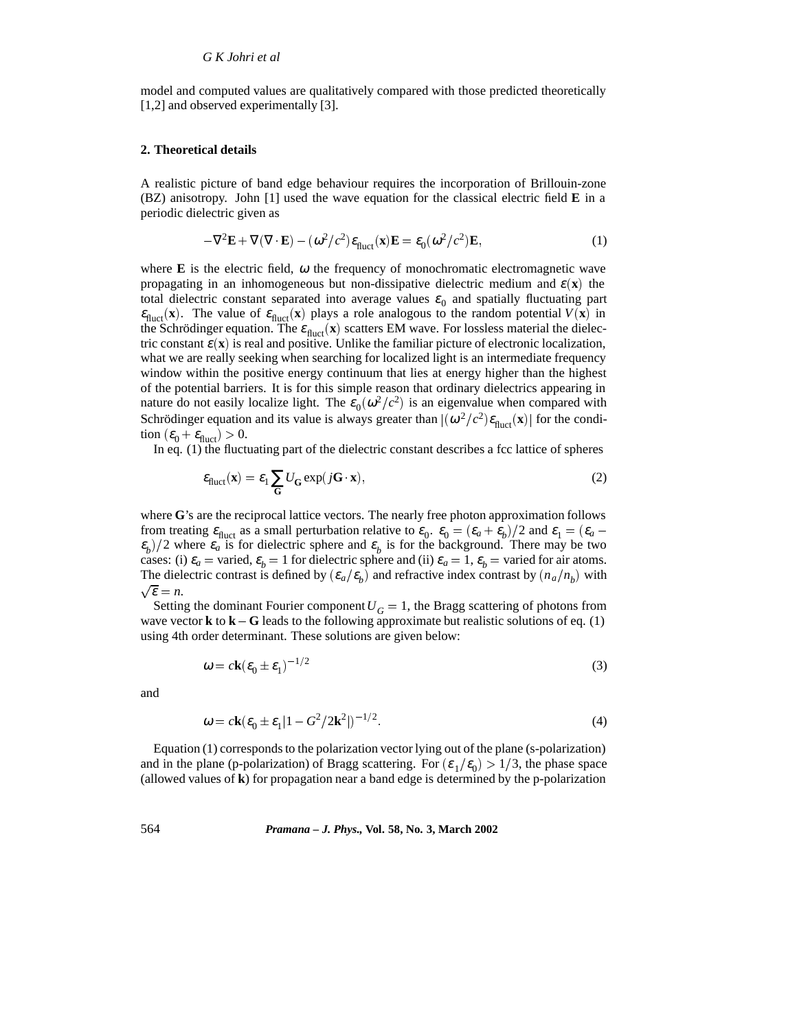model and computed values are qualitatively compared with those predicted theoretically [1,2] and observed experimentally [3].

#### **2. Theoretical details**

A realistic picture of band edge behaviour requires the incorporation of Brillouin-zone (BZ) anisotropy. John [1] used the wave equation for the classical electric field **E** in a periodic dielectric given as

$$
-\nabla^2 \mathbf{E} + \nabla (\nabla \cdot \mathbf{E}) - (\omega^2/c^2) \varepsilon_{\text{fluct}}(\mathbf{x}) \mathbf{E} = \varepsilon_0 (\omega^2/c^2) \mathbf{E},
$$
 (1)

where **E** is the electric field,  $\omega$  the frequency of monochromatic electromagnetic wave propagating in an inhomogeneous but non-dissipative dielectric medium and  $\varepsilon(\mathbf{x})$  the total dielectric constant separated into average values  $\varepsilon_0$  and spatially fluctuating part  $\varepsilon_{\text{fluct}}(x)$ . The value of  $\varepsilon_{\text{fluct}}(x)$  plays a role analogous to the random potential  $V(x)$  in the Schrödinger equation. The  $\varepsilon_{\text{fluct}}(x)$  scatters EM wave. For lossless material the dielectric constant  $\varepsilon(\mathbf{x})$  is real and positive. Unlike the familiar picture of electronic localization, what we are really seeking when searching for localized light is an intermediate frequency window within the positive energy continuum that lies at energy higher than the highest of the potential barriers. It is for this simple reason that ordinary dielectrics appearing in nature do not easily localize light. The  $\varepsilon_0(\omega^2/c^2)$  is an eigenvalue when compared with Schrödinger equation and its value is always greater than  $|(\omega^2/c^2)\epsilon_{\text{fluct}}(\mathbf{x})|$  for the condition  $(\varepsilon_0 + \varepsilon_{\text{fluct}}) > 0$ .

In eq. (1) the fluctuating part of the dielectric constant describes a fcc lattice of spheres

$$
\varepsilon_{\text{fluct}}(\mathbf{x}) = \varepsilon_1 \sum_{\mathbf{G}} U_{\mathbf{G}} \exp(j\mathbf{G} \cdot \mathbf{x}),\tag{2}
$$

where **G**'s are the reciprocal lattice vectors. The nearly free photon approximation follows from treating  $\varepsilon_{\text{fluct}}$  as a small perturbation relative to  $\varepsilon_0$ .  $\varepsilon_0 = (\varepsilon_a + \varepsilon_b)/2$  and  $\varepsilon_1 = (\varepsilon_a - \varepsilon_b)/2$  $\epsilon_b$ )/2 where  $\epsilon_a$  is for dielectric sphere and  $\epsilon_b$  is for the background. There may be two cases: (i)  $\varepsilon_a$  = varied,  $\varepsilon_b$  = 1 for dielectric sphere and (ii)  $\varepsilon_a$  = 1,  $\varepsilon_b$  = varied for air atoms. The dielectric contrast is defined by ( $\varepsilon_a/\varepsilon_b$ ) and refractive index contrast by  $(n_a/n_b)$  with  $\sqrt{\varepsilon} = n$ .

Setting the dominant Fourier component  $U_G = 1$ , the Bragg scattering of photons from wave vector **k** to  $\bf{k} - \bf{G}$  leads to the following approximate but realistic solutions of eq. (1) using 4th order determinant. These solutions are given below:

$$
\omega = c\mathbf{k}(\varepsilon_0 \pm \varepsilon_1)^{-1/2} \tag{3}
$$

and

$$
\omega = c\mathbf{k}(\varepsilon_0 \pm \varepsilon_1 |1 - G^2/2\mathbf{k}^2|)^{-1/2}.
$$
 (4)

Equation (1) corresponds to the polarization vector lying out of the plane (s-polarization) and in the plane (p-polarization) of Bragg scattering. For  $(\epsilon_1/\epsilon_0) > 1/3$ , the phase space (allowed values of **k**) for propagation near a band edge is determined by the p-polarization

## 564 *Pramana – J. Phys.,* **Vol. 58, No. 3, March 2002**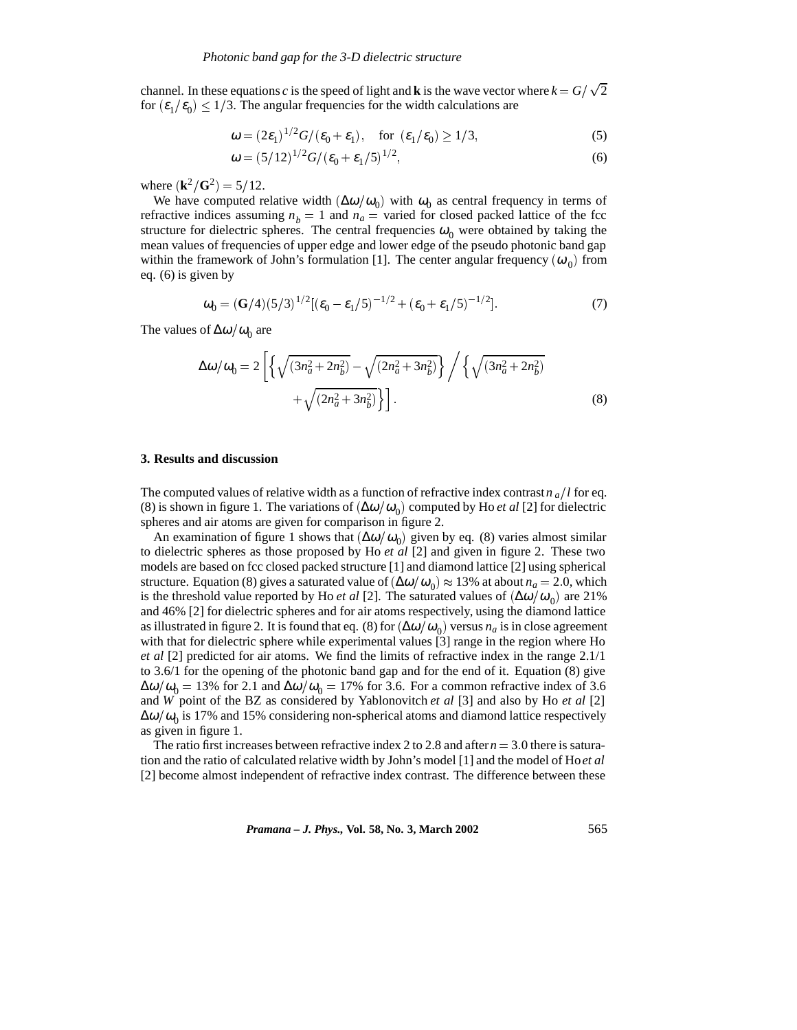channel. In these equations *c* is the speed of light and **k** is the wave vector where  $k = G/\sqrt{2}$ for  $(\varepsilon_1/\varepsilon_0) \leq 1/3$ . The angular frequencies for the width calculations are

$$
\omega = (2\varepsilon_1)^{1/2} G/(\varepsilon_0 + \varepsilon_1), \quad \text{for } (\varepsilon_1/\varepsilon_0) \ge 1/3,
$$
 (5)

$$
\omega = (5/12)^{1/2} G / (\varepsilon_0 + \varepsilon_1 / 5)^{1/2},\tag{6}
$$

where  $(k^2/G^2) = 5/12$ .

We have computed relative width  $(\Delta \omega/\omega_0)$  with  $\omega_0$  as central frequency in terms of refractive indices assuming  $n_b = 1$  and  $n_a$  = varied for closed packed lattice of the fcc structure for dielectric spheres. The central frequencies  $\omega_0$  were obtained by taking the mean values of frequencies of upper edge and lower edge of the pseudo photonic band gap within the framework of John's formulation [1]. The center angular frequency  $(\omega_0)$  from eq. (6) is given by

$$
\omega_0 = (\mathbf{G}/4)(5/3)^{1/2} [(\varepsilon_0 - \varepsilon_1/5)^{-1/2} + (\varepsilon_0 + \varepsilon_1/5)^{-1/2}].
$$
\n(7)

The values of  $\Delta\omega/\omega_0$  are

$$
\Delta\omega/\omega_0 = 2\left[\left\{\sqrt{(3n_a^2 + 2n_b^2)} - \sqrt{(2n_a^2 + 3n_b^2)}\right\}\right/\left\{\sqrt{(3n_a^2 + 2n_b^2)} + \sqrt{(2n_a^2 + 3n_b^2)}\right\}\right].
$$
\n(8)

#### **3. Results and discussion**

The computed values of relative width as a function of refractive index contrast  $n_a/l$  for eq. (8) is shown in figure 1. The variations of  $(\Delta \omega/\omega_0)$  computed by Ho *et al* [2] for dielectric spheres and air atoms are given for comparison in figure 2.

An examination of figure 1 shows that  $(\Delta \omega/\omega_0)$  given by eq. (8) varies almost similar to dielectric spheres as those proposed by Ho *et al* [2] and given in figure 2. These two models are based on fcc closed packed structure [1] and diamond lattice [2] using spherical structure. Equation (8) gives a saturated value of  $(\Delta \omega/\omega_0) \approx 13%$  at about  $n_a = 2.0$ , which is the threshold value reported by Ho *et al* [2]. The saturated values of  $(\Delta \omega/\omega_0)$  are 21% and 46% [2] for dielectric spheres and for air atoms respectively, using the diamond lattice as illustrated in figure 2. It is found that eq. (8) for  $(\Delta \omega/\omega_0)$  versus  $n_a$  is in close agreement with that for dielectric sphere while experimental values [3] range in the region where Ho *et al* [2] predicted for air atoms. We find the limits of refractive index in the range 2.1/1 to 3.6/1 for the opening of the photonic band gap and for the end of it. Equation (8) give  $\Delta\omega/\omega_0 = 13\%$  for 2.1 and  $\Delta\omega/\omega_0 = 17\%$  for 3.6. For a common refractive index of 3.6 and *W* point of the BZ as considered by Yablonovitch *et al* [3] and also by Ho *et al* [2]  $\Delta\omega/\omega_0$  is 17% and 15% considering non-spherical atoms and diamond lattice respectively as given in figure 1.

The ratio first increases between refractive index 2 to 2.8 and after  $n = 3.0$  there is saturation and the ratio of calculated relative width by John's model [1] and the model of Ho*et al* [2] become almost independent of refractive index contrast. The difference between these

*Pramana – J. Phys.,* **Vol. 58, No. 3, March 2002** 565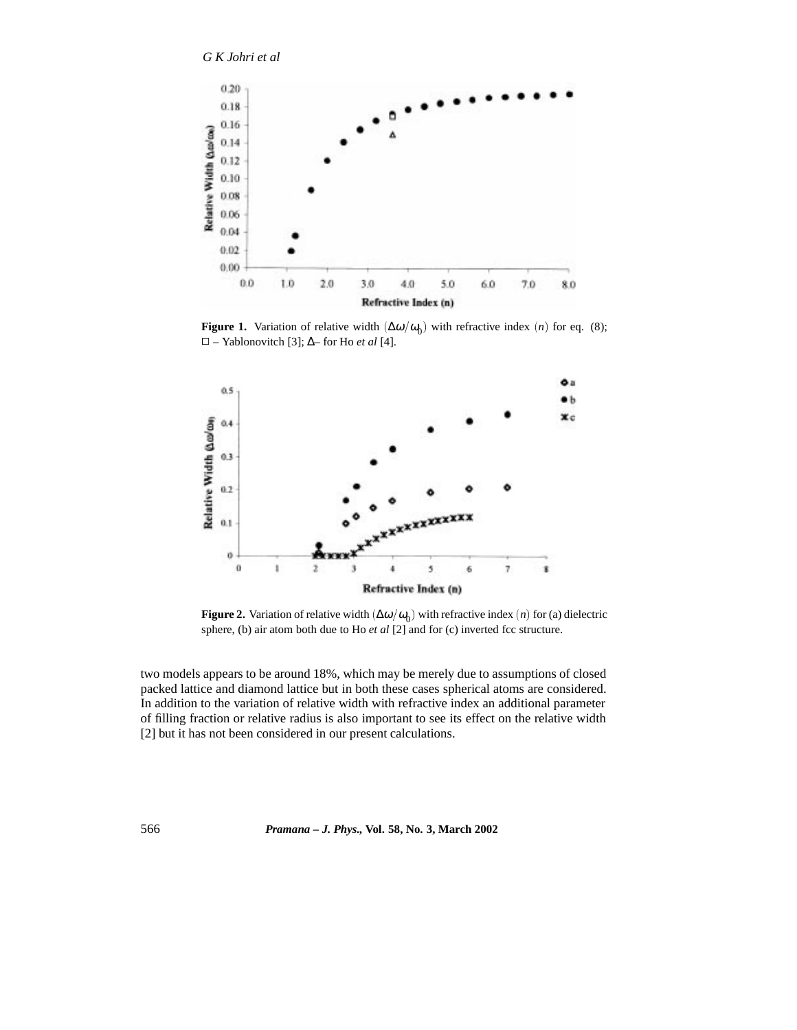# *G K Johri et al*



**Figure 1.** Variation of relative width  $(\Delta \omega/\omega_0)$  with refractive index (*n*) for eq. (8); 2 – Yablonovitch [3]; ∆– for Ho *et al* [4].



**Figure 2.** Variation of relative width  $(\Delta \omega/\omega_0)$  with refractive index (*n*) for (a) dielectric sphere, (b) air atom both due to Ho *et al* [2] and for (c) inverted fcc structure.

two models appears to be around 18%, which may be merely due to assumptions of closed packed lattice and diamond lattice but in both these cases spherical atoms are considered. In addition to the variation of relative width with refractive index an additional parameter of filling fraction or relative radius is also important to see its effect on the relative width [2] but it has not been considered in our present calculations.

566 *Pramana – J. Phys.,* **Vol. 58, No. 3, March 2002**